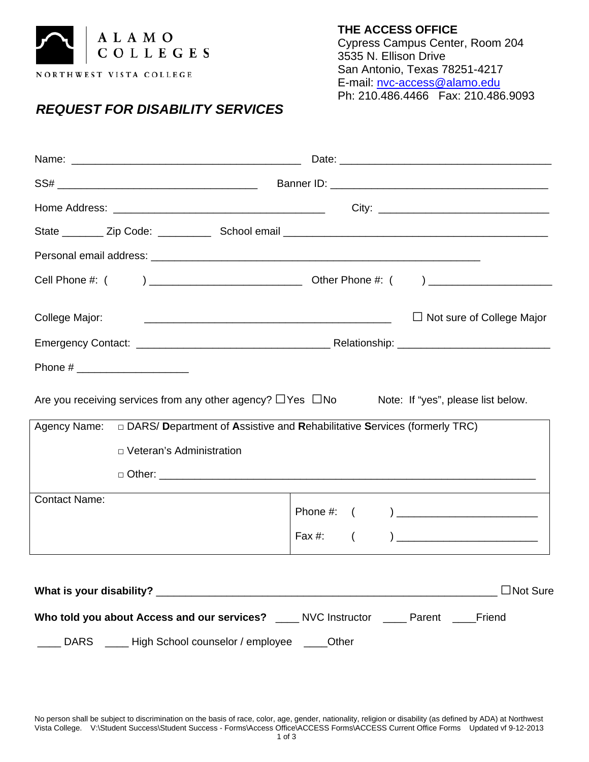

## *REQUEST FOR DISABILITY SERVICES*

**THE ACCESS OFFICE** Cypress Campus Center, Room 204 3535 N. Ellison Drive San Antonio, Texas 78251-4217 E-mail: [nvc-access@alamo.edu](mailto:nvc-access@alamo.edu) Ph: 210.486.4466 Fax: 210.486.9093

| College Major:                                                                                            | $\Box$ Not sure of College Major |
|-----------------------------------------------------------------------------------------------------------|----------------------------------|
|                                                                                                           |                                  |
|                                                                                                           |                                  |
| Are you receiving services from any other agency? $\Box$ Yes $\Box$ No Note: If "yes", please list below. |                                  |
|                                                                                                           |                                  |
| D Veteran's Administration                                                                                |                                  |
|                                                                                                           |                                  |
| <b>Contact Name:</b>                                                                                      |                                  |
|                                                                                                           | Fax #:<br>$\left($               |
|                                                                                                           |                                  |
| Who told you about Access and our services? ____ NVC Instructor ____ Parent ____ Friend                   |                                  |
| ___ High School counselor / employee ____Other<br><b>DARS</b>                                             |                                  |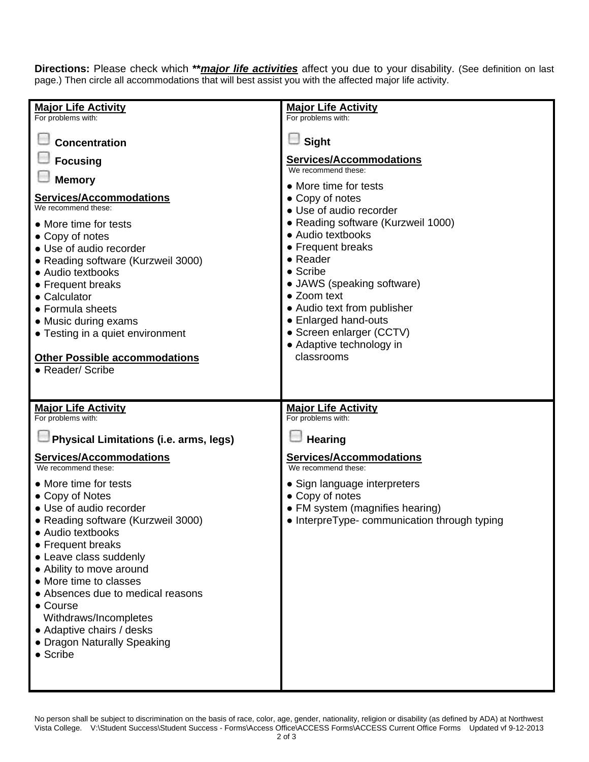**Directions:** Please check which **\*\****major life activities* affect you due to your disability. (See definition on last page.) Then circle all accommodations that will best assist you with the affected major life activity.

| <b>Major Life Activity</b>                                                                                                                                                                                                                                                                                                                                               | <b>Major Life Activity</b>                                                                                                                                                                                                                                                                                                           |  |  |
|--------------------------------------------------------------------------------------------------------------------------------------------------------------------------------------------------------------------------------------------------------------------------------------------------------------------------------------------------------------------------|--------------------------------------------------------------------------------------------------------------------------------------------------------------------------------------------------------------------------------------------------------------------------------------------------------------------------------------|--|--|
| For problems with:                                                                                                                                                                                                                                                                                                                                                       | For problems with:                                                                                                                                                                                                                                                                                                                   |  |  |
| <b>Concentration</b>                                                                                                                                                                                                                                                                                                                                                     | Sight                                                                                                                                                                                                                                                                                                                                |  |  |
| <b>Focusing</b>                                                                                                                                                                                                                                                                                                                                                          | <b>Services/Accommodations</b><br>We recommend these:<br>• More time for tests                                                                                                                                                                                                                                                       |  |  |
| <b>Memory</b>                                                                                                                                                                                                                                                                                                                                                            |                                                                                                                                                                                                                                                                                                                                      |  |  |
| <b>Services/Accommodations</b><br>We recommend these:<br>• More time for tests<br>• Copy of notes<br>• Use of audio recorder<br>• Reading software (Kurzweil 3000)<br>• Audio textbooks<br>• Frequent breaks<br>• Calculator<br>• Formula sheets<br>• Music during exams<br>• Testing in a quiet environment<br><b>Other Possible accommodations</b><br>• Reader/ Scribe | • Copy of notes<br>• Use of audio recorder<br>• Reading software (Kurzweil 1000)<br>• Audio textbooks<br>• Frequent breaks<br>• Reader<br>$\bullet$ Scribe<br>• JAWS (speaking software)<br>• Zoom text<br>• Audio text from publisher<br>• Enlarged hand-outs<br>• Screen enlarger (CCTV)<br>• Adaptive technology in<br>classrooms |  |  |
|                                                                                                                                                                                                                                                                                                                                                                          |                                                                                                                                                                                                                                                                                                                                      |  |  |
| <b>Major Life Activity</b>                                                                                                                                                                                                                                                                                                                                               | <b>Major Life Activity</b>                                                                                                                                                                                                                                                                                                           |  |  |
| For problems with:                                                                                                                                                                                                                                                                                                                                                       | For problems with:                                                                                                                                                                                                                                                                                                                   |  |  |
| Physical Limitations (i.e. arms, legs)                                                                                                                                                                                                                                                                                                                                   | <b>Hearing</b>                                                                                                                                                                                                                                                                                                                       |  |  |
| <b>Services/Accommodations</b><br>We recommend these:                                                                                                                                                                                                                                                                                                                    | <b>Services/Accommodations</b><br>We recommend these:                                                                                                                                                                                                                                                                                |  |  |